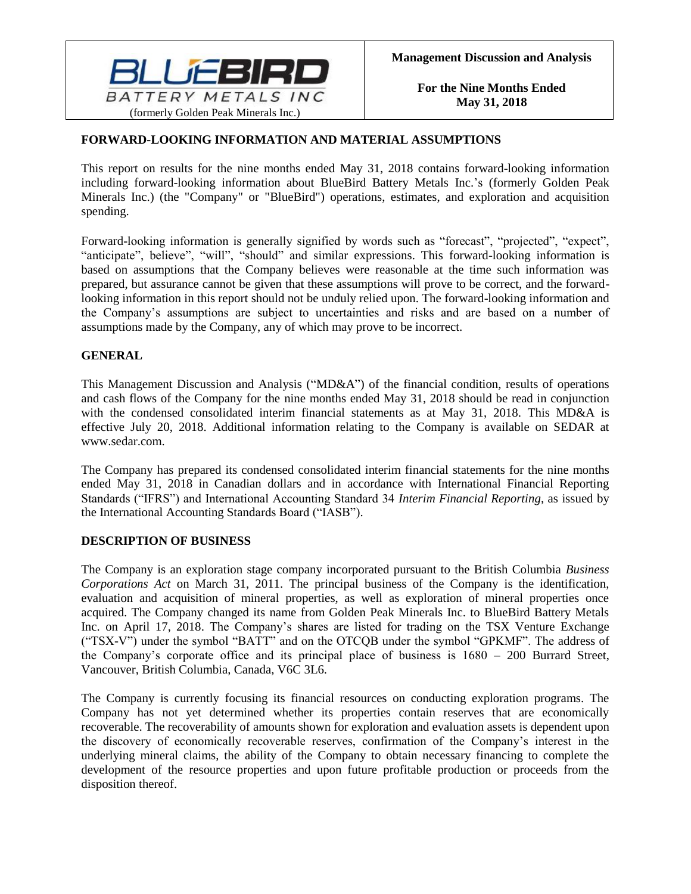

# **FORWARD-LOOKING INFORMATION AND MATERIAL ASSUMPTIONS**

This report on results for the nine months ended May 31, 2018 contains forward-looking information including forward-looking information about BlueBird Battery Metals Inc.'s (formerly Golden Peak Minerals Inc.) (the "Company" or "BlueBird") operations, estimates, and exploration and acquisition spending.

Forward-looking information is generally signified by words such as "forecast", "projected", "expect", "anticipate", believe", "will", "should" and similar expressions. This forward-looking information is based on assumptions that the Company believes were reasonable at the time such information was prepared, but assurance cannot be given that these assumptions will prove to be correct, and the forwardlooking information in this report should not be unduly relied upon. The forward-looking information and the Company's assumptions are subject to uncertainties and risks and are based on a number of assumptions made by the Company, any of which may prove to be incorrect.

# **GENERAL**

This Management Discussion and Analysis ("MD&A") of the financial condition, results of operations and cash flows of the Company for the nine months ended May 31, 2018 should be read in conjunction with the condensed consolidated interim financial statements as at May 31, 2018. This MD&A is effective July 20, 2018. Additional information relating to the Company is available on SEDAR at www.sedar.com.

The Company has prepared its condensed consolidated interim financial statements for the nine months ended May 31, 2018 in Canadian dollars and in accordance with International Financial Reporting Standards ("IFRS") and International Accounting Standard 34 *Interim Financial Reporting*, as issued by the International Accounting Standards Board ("IASB").

## **DESCRIPTION OF BUSINESS**

The Company is an exploration stage company incorporated pursuant to the British Columbia *Business Corporations Act* on March 31, 2011. The principal business of the Company is the identification, evaluation and acquisition of mineral properties, as well as exploration of mineral properties once acquired. The Company changed its name from Golden Peak Minerals Inc. to BlueBird Battery Metals Inc. on April 17, 2018. The Company's shares are listed for trading on the TSX Venture Exchange ("TSX-V") under the symbol "BATT" and on the OTCQB under the symbol "GPKMF". The address of the Company's corporate office and its principal place of business is 1680 – 200 Burrard Street, Vancouver, British Columbia, Canada, V6C 3L6.

The Company is currently focusing its financial resources on conducting exploration programs. The Company has not yet determined whether its properties contain reserves that are economically recoverable. The recoverability of amounts shown for exploration and evaluation assets is dependent upon the discovery of economically recoverable reserves, confirmation of the Company's interest in the underlying mineral claims, the ability of the Company to obtain necessary financing to complete the development of the resource properties and upon future profitable production or proceeds from the disposition thereof.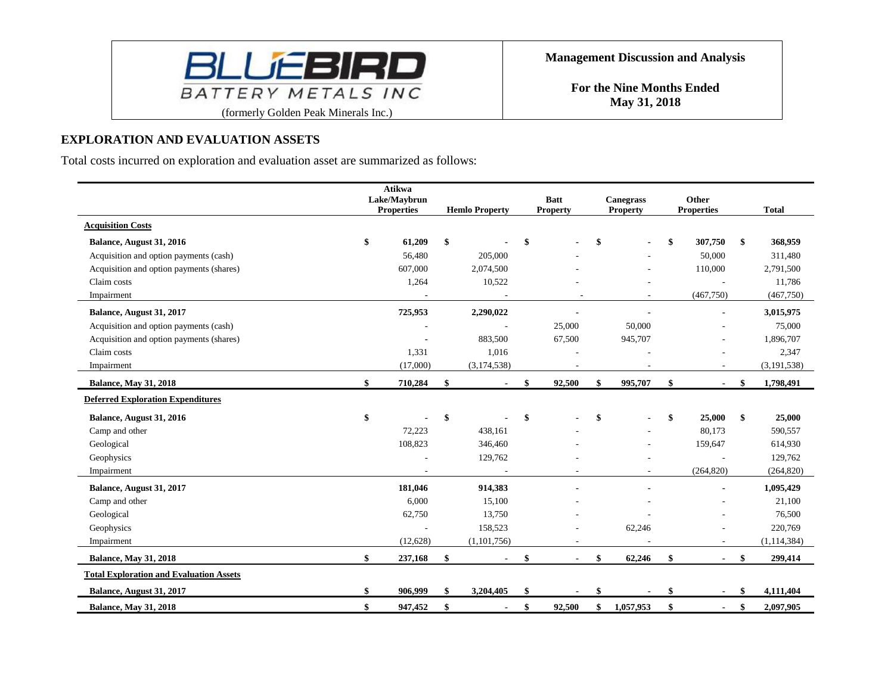

**Management Discussion and Analysis**

**For the Nine Months Ended May 31, 2018**

(formerly Golden Peak Minerals Inc.)

# **EXPLORATION AND EVALUATION ASSETS**

Total costs incurred on exploration and evaluation asset are summarized as follows:

|                                                | <b>Atikwa</b><br>Lake/Maybrun<br><b>Properties</b> | <b>Hemlo Property</b> |               | <b>Batt</b><br><b>Property</b> | Canegrass<br><b>Property</b> | Other<br><b>Properties</b> |              | <b>Total</b>  |
|------------------------------------------------|----------------------------------------------------|-----------------------|---------------|--------------------------------|------------------------------|----------------------------|--------------|---------------|
| <b>Acquisition Costs</b>                       |                                                    |                       |               |                                |                              |                            |              |               |
| Balance, August 31, 2016                       | \$<br>61,209                                       | \$                    | \$            |                                |                              | \$<br>307,750              | \$           | 368,959       |
| Acquisition and option payments (cash)         | 56.480                                             | 205,000               |               |                                |                              | 50,000                     |              | 311,480       |
| Acquisition and option payments (shares)       | 607,000                                            | 2,074,500             |               |                                |                              | 110,000                    |              | 2,791,500     |
| Claim costs                                    | 1,264                                              | 10,522                |               |                                |                              |                            |              | 11,786        |
| Impairment                                     |                                                    |                       |               |                                |                              | (467,750)                  |              | (467,750)     |
| Balance, August 31, 2017                       | 725,953                                            | 2,290,022             |               |                                |                              |                            |              | 3,015,975     |
| Acquisition and option payments (cash)         |                                                    |                       |               | 25,000                         | 50,000                       |                            |              | 75,000        |
| Acquisition and option payments (shares)       |                                                    | 883,500               |               | 67,500                         | 945,707                      |                            |              | 1,896,707     |
| Claim costs                                    | 1,331                                              | 1,016                 |               |                                |                              |                            |              | 2,347         |
| Impairment                                     | (17,000)                                           | (3,174,538)           |               |                                |                              |                            |              | (3, 191, 538) |
| <b>Balance, May 31, 2018</b>                   | \$<br>710,284                                      | \$                    | \$            | 92,500                         | \$<br>995,707                | \$                         | \$           | 1,798,491     |
| <b>Deferred Exploration Expenditures</b>       |                                                    |                       |               |                                |                              |                            |              |               |
| Balance, August 31, 2016                       | \$                                                 | \$                    | $\mathbf{\$}$ |                                | \$                           | \$<br>25,000               | $\mathbf{s}$ | 25,000        |
| Camp and other                                 | 72,223                                             | 438,161               |               |                                |                              | 80,173                     |              | 590,557       |
| Geological                                     | 108,823                                            | 346,460               |               |                                |                              | 159,647                    |              | 614,930       |
| Geophysics                                     |                                                    | 129,762               |               |                                |                              |                            |              | 129,762       |
| Impairment                                     |                                                    |                       |               |                                |                              | (264, 820)                 |              | (264, 820)    |
| Balance, August 31, 2017                       | 181,046                                            | 914,383               |               |                                |                              |                            |              | 1,095,429     |
| Camp and other                                 | 6,000                                              | 15,100                |               |                                |                              |                            |              | 21,100        |
| Geological                                     | 62,750                                             | 13,750                |               |                                |                              |                            |              | 76,500        |
| Geophysics                                     |                                                    | 158,523               |               |                                | 62,246                       |                            |              | 220,769       |
| Impairment                                     | (12,628)                                           | (1, 101, 756)         |               |                                |                              |                            |              | (1, 114, 384) |
| <b>Balance, May 31, 2018</b>                   | \$<br>237,168                                      | \$<br>$\blacksquare$  | \$            |                                | \$<br>62,246                 | \$                         | \$           | 299,414       |
| <b>Total Exploration and Evaluation Assets</b> |                                                    |                       |               |                                |                              |                            |              |               |
| Balance, August 31, 2017                       | \$<br>906,999                                      | \$<br>3,204,405       | \$            |                                |                              | \$                         | \$           | 4,111,404     |
| <b>Balance, May 31, 2018</b>                   | \$<br>947,452                                      | \$<br>$\blacksquare$  | \$            | 92,500                         | \$<br>1,057,953              | \$<br>$\blacksquare$       | \$           | 2,097,905     |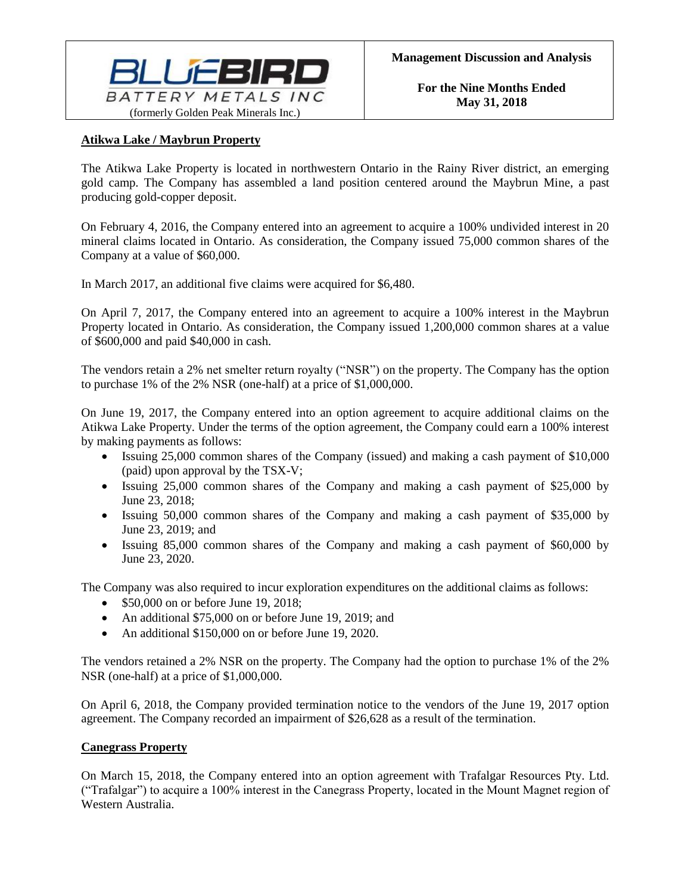

# **Atikwa Lake / Maybrun Property**

The Atikwa Lake Property is located in northwestern Ontario in the Rainy River district, an emerging gold camp. The Company has assembled a land position centered around the Maybrun Mine, a past producing gold-copper deposit.

On February 4, 2016, the Company entered into an agreement to acquire a 100% undivided interest in 20 mineral claims located in Ontario. As consideration, the Company issued 75,000 common shares of the Company at a value of \$60,000.

In March 2017, an additional five claims were acquired for \$6,480.

On April 7, 2017, the Company entered into an agreement to acquire a 100% interest in the Maybrun Property located in Ontario. As consideration, the Company issued 1,200,000 common shares at a value of \$600,000 and paid \$40,000 in cash.

The vendors retain a 2% net smelter return royalty ("NSR") on the property. The Company has the option to purchase 1% of the 2% NSR (one-half) at a price of \$1,000,000.

On June 19, 2017, the Company entered into an option agreement to acquire additional claims on the Atikwa Lake Property. Under the terms of the option agreement, the Company could earn a 100% interest by making payments as follows:

- Issuing 25,000 common shares of the Company (issued) and making a cash payment of \$10,000 (paid) upon approval by the TSX-V;
- Issuing 25,000 common shares of the Company and making a cash payment of \$25,000 by June 23, 2018;
- Issuing 50,000 common shares of the Company and making a cash payment of \$35,000 by June 23, 2019; and
- Issuing 85,000 common shares of the Company and making a cash payment of \$60,000 by June 23, 2020.

The Company was also required to incur exploration expenditures on the additional claims as follows:

- \$50,000 on or before June 19, 2018;
- An additional \$75,000 on or before June 19, 2019; and
- An additional \$150,000 on or before June 19, 2020.

The vendors retained a 2% NSR on the property. The Company had the option to purchase 1% of the 2% NSR (one-half) at a price of \$1,000,000.

On April 6, 2018, the Company provided termination notice to the vendors of the June 19, 2017 option agreement. The Company recorded an impairment of \$26,628 as a result of the termination.

#### **Canegrass Property**

On March 15, 2018, the Company entered into an option agreement with Trafalgar Resources Pty. Ltd. ("Trafalgar") to acquire a 100% interest in the Canegrass Property, located in the Mount Magnet region of Western Australia.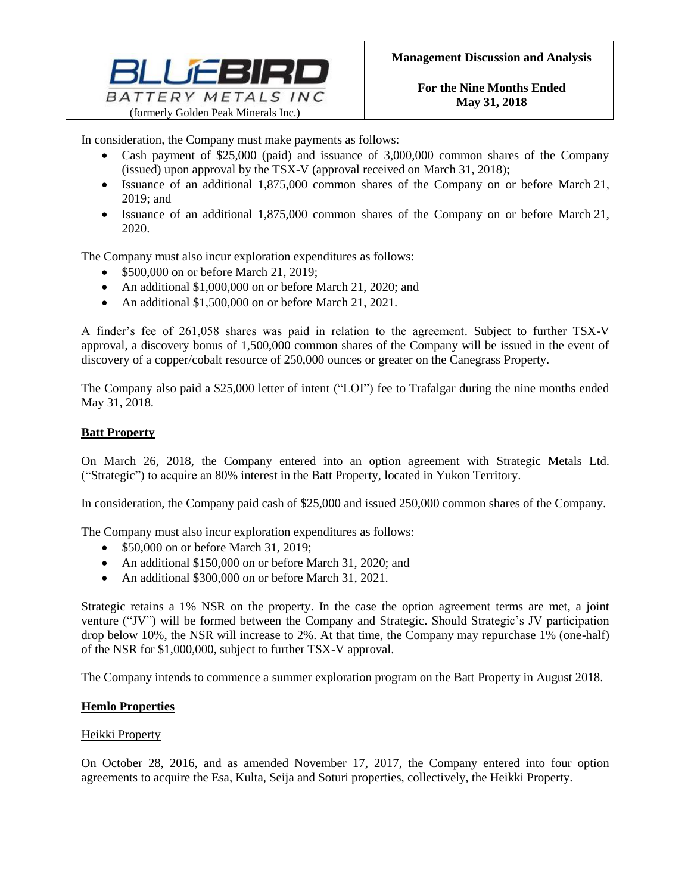

In consideration, the Company must make payments as follows:

- Cash payment of \$25,000 (paid) and issuance of 3,000,000 common shares of the Company (issued) upon approval by the TSX-V (approval received on March 31, 2018);
- Issuance of an additional 1,875,000 common shares of the Company on or before March 21, 2019; and
- Issuance of an additional 1,875,000 common shares of the Company on or before March 21, 2020.

The Company must also incur exploration expenditures as follows:

- \$500,000 on or before March 21, 2019;
- An additional \$1,000,000 on or before March 21, 2020; and
- An additional \$1,500,000 on or before March 21, 2021.

A finder's fee of 261,058 shares was paid in relation to the agreement. Subject to further TSX-V approval, a discovery bonus of 1,500,000 common shares of the Company will be issued in the event of discovery of a copper/cobalt resource of 250,000 ounces or greater on the Canegrass Property.

The Company also paid a \$25,000 letter of intent ("LOI") fee to Trafalgar during the nine months ended May 31, 2018.

## **Batt Property**

On March 26, 2018, the Company entered into an option agreement with Strategic Metals Ltd. ("Strategic") to acquire an 80% interest in the Batt Property, located in Yukon Territory.

In consideration, the Company paid cash of \$25,000 and issued 250,000 common shares of the Company.

The Company must also incur exploration expenditures as follows:

- \$50,000 on or before March 31, 2019;
- An additional \$150,000 on or before March 31, 2020; and
- An additional \$300,000 on or before March 31, 2021.

Strategic retains a 1% NSR on the property. In the case the option agreement terms are met, a joint venture ("JV") will be formed between the Company and Strategic. Should Strategic's JV participation drop below 10%, the NSR will increase to 2%. At that time, the Company may repurchase 1% (one-half) of the NSR for \$1,000,000, subject to further TSX-V approval.

The Company intends to commence a summer exploration program on the Batt Property in August 2018.

## **Hemlo Properties**

#### Heikki Property

On October 28, 2016, and as amended November 17, 2017, the Company entered into four option agreements to acquire the Esa, Kulta, Seija and Soturi properties, collectively, the Heikki Property.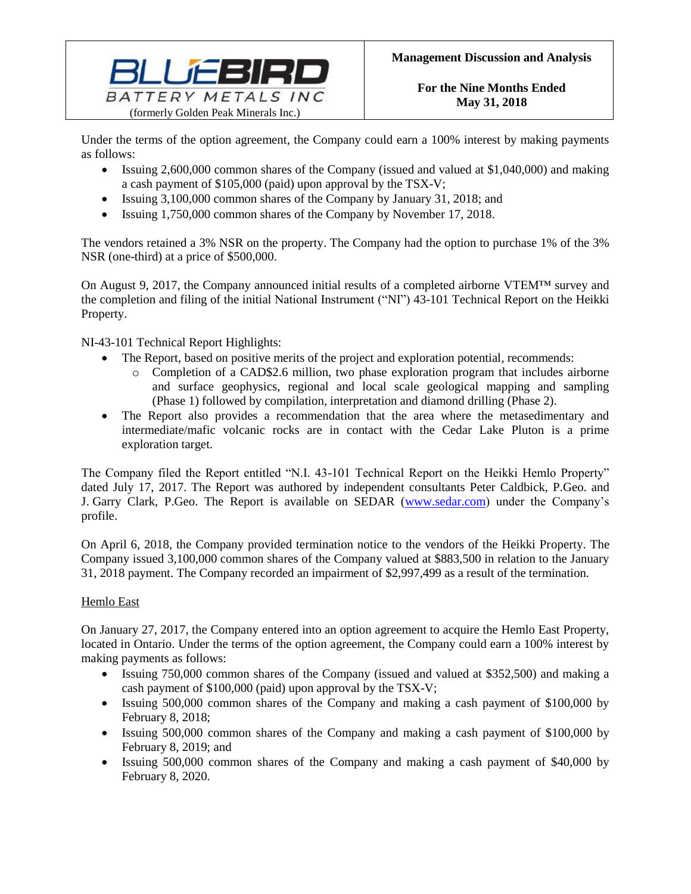

Under the terms of the option agreement, the Company could earn a 100% interest by making payments as follows:

- Issuing 2,600,000 common shares of the Company (issued and valued at \$1,040,000) and making a cash payment of \$105,000 (paid) upon approval by the TSX-V;
- Issuing 3,100,000 common shares of the Company by January 31, 2018; and
- Issuing 1,750,000 common shares of the Company by November 17, 2018.

The vendors retained a 3% NSR on the property. The Company had the option to purchase 1% of the 3% NSR (one-third) at a price of \$500,000.

On August 9, 2017, the Company announced initial results of a completed airborne VTEM™ survey and the completion and filing of the initial National Instrument ("NI") 43-101 Technical Report on the Heikki Property.

NI-43-101 Technical Report Highlights:

- The Report, based on positive merits of the project and exploration potential, recommends:
	- o Completion of a CAD\$2.6 million, two phase exploration program that includes airborne and surface geophysics, regional and local scale geological mapping and sampling (Phase 1) followed by compilation, interpretation and diamond drilling (Phase 2).
- The Report also provides a recommendation that the area where the metasedimentary and intermediate/mafic volcanic rocks are in contact with the Cedar Lake Pluton is a prime exploration target.

The Company filed the Report entitled "N.I. 43-101 Technical Report on the Heikki Hemlo Property" dated July 17, 2017. The Report was authored by independent consultants Peter Caldbick, P.Geo. and J. Garry Clark, P.Geo. The Report is available on SEDAR [\(www.sedar.com\)](http://www.sedar.com/) under the Company's profile.

On April 6, 2018, the Company provided termination notice to the vendors of the Heikki Property. The Company issued 3,100,000 common shares of the Company valued at \$883,500 in relation to the January 31, 2018 payment. The Company recorded an impairment of \$2,997,499 as a result of the termination.

## Hemlo East

On January 27, 2017, the Company entered into an option agreement to acquire the Hemlo East Property, located in Ontario. Under the terms of the option agreement, the Company could earn a 100% interest by making payments as follows:

- Issuing 750,000 common shares of the Company (issued and valued at \$352,500) and making a cash payment of \$100,000 (paid) upon approval by the TSX-V;
- Issuing 500,000 common shares of the Company and making a cash payment of \$100,000 by February 8, 2018;
- Issuing 500,000 common shares of the Company and making a cash payment of \$100,000 by February 8, 2019; and
- Issuing 500,000 common shares of the Company and making a cash payment of \$40,000 by February 8, 2020.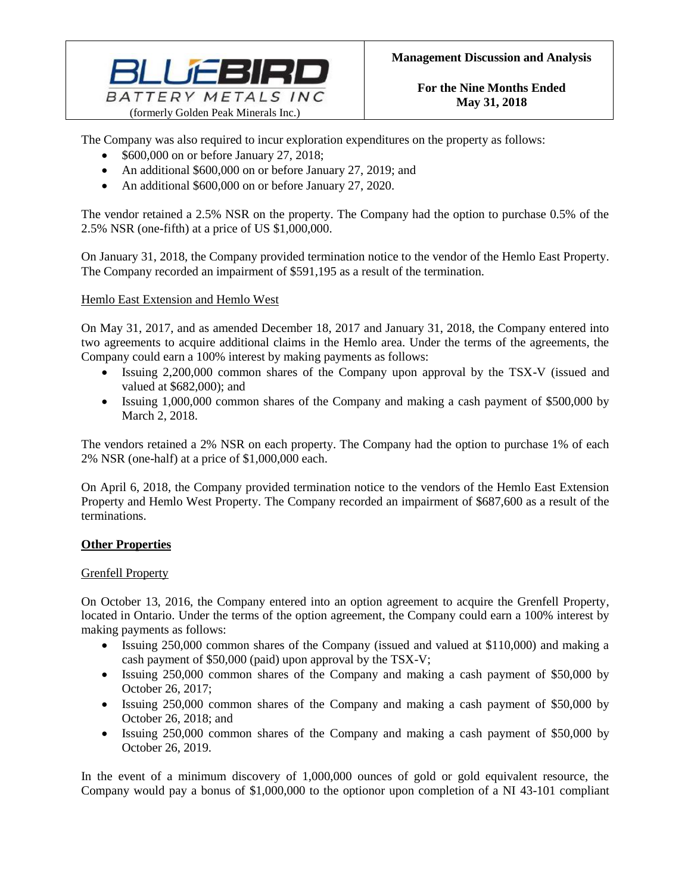

The Company was also required to incur exploration expenditures on the property as follows:

- \$600,000 on or before January 27, 2018;
- An additional \$600,000 on or before January 27, 2019; and
- An additional \$600,000 on or before January 27, 2020.

The vendor retained a 2.5% NSR on the property. The Company had the option to purchase 0.5% of the 2.5% NSR (one-fifth) at a price of US \$1,000,000.

On January 31, 2018, the Company provided termination notice to the vendor of the Hemlo East Property. The Company recorded an impairment of \$591,195 as a result of the termination.

## Hemlo East Extension and Hemlo West

On May 31, 2017, and as amended December 18, 2017 and January 31, 2018, the Company entered into two agreements to acquire additional claims in the Hemlo area. Under the terms of the agreements, the Company could earn a 100% interest by making payments as follows:

- Issuing 2,200,000 common shares of the Company upon approval by the TSX-V (issued and valued at \$682,000); and
- Issuing 1,000,000 common shares of the Company and making a cash payment of \$500,000 by March 2, 2018.

The vendors retained a 2% NSR on each property. The Company had the option to purchase 1% of each 2% NSR (one-half) at a price of \$1,000,000 each.

On April 6, 2018, the Company provided termination notice to the vendors of the Hemlo East Extension Property and Hemlo West Property. The Company recorded an impairment of \$687,600 as a result of the terminations.

## **Other Properties**

## Grenfell Property

On October 13, 2016, the Company entered into an option agreement to acquire the Grenfell Property, located in Ontario. Under the terms of the option agreement, the Company could earn a 100% interest by making payments as follows:

- Issuing 250,000 common shares of the Company (issued and valued at \$110,000) and making a cash payment of \$50,000 (paid) upon approval by the TSX-V;
- Issuing 250,000 common shares of the Company and making a cash payment of \$50,000 by October 26, 2017;
- Issuing 250,000 common shares of the Company and making a cash payment of \$50,000 by October 26, 2018; and
- Issuing 250,000 common shares of the Company and making a cash payment of \$50,000 by October 26, 2019.

In the event of a minimum discovery of 1,000,000 ounces of gold or gold equivalent resource, the Company would pay a bonus of \$1,000,000 to the optionor upon completion of a NI 43-101 compliant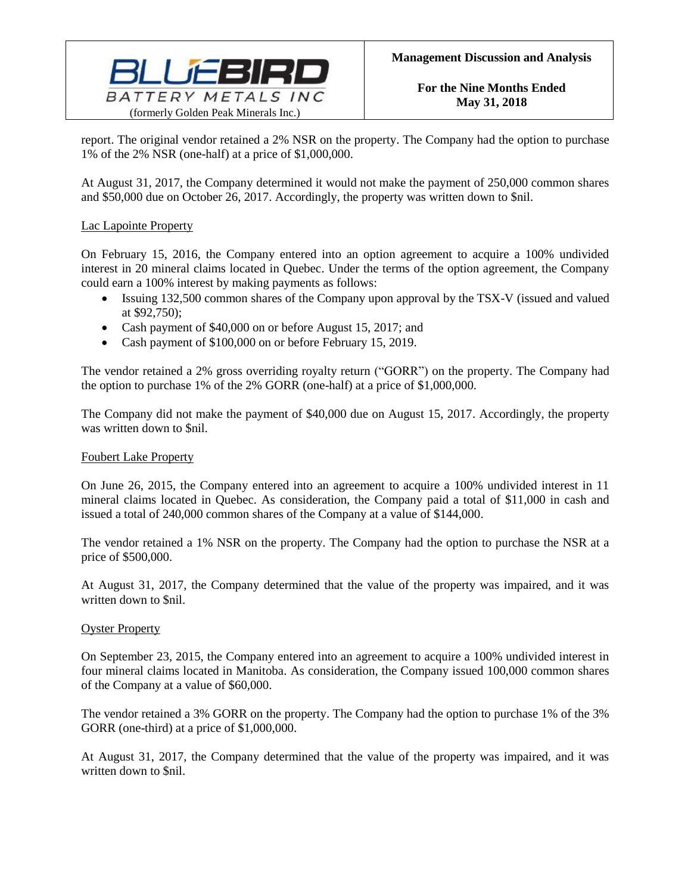

report. The original vendor retained a 2% NSR on the property. The Company had the option to purchase 1% of the 2% NSR (one-half) at a price of \$1,000,000.

At August 31, 2017, the Company determined it would not make the payment of 250,000 common shares and \$50,000 due on October 26, 2017. Accordingly, the property was written down to \$nil.

# Lac Lapointe Property

On February 15, 2016, the Company entered into an option agreement to acquire a 100% undivided interest in 20 mineral claims located in Quebec. Under the terms of the option agreement, the Company could earn a 100% interest by making payments as follows:

- Issuing 132,500 common shares of the Company upon approval by the TSX-V (issued and valued at \$92,750);
- Cash payment of \$40,000 on or before August 15, 2017; and
- Cash payment of \$100,000 on or before February 15, 2019.

The vendor retained a 2% gross overriding royalty return ("GORR") on the property. The Company had the option to purchase 1% of the 2% GORR (one-half) at a price of \$1,000,000.

The Company did not make the payment of \$40,000 due on August 15, 2017. Accordingly, the property was written down to \$nil.

#### Foubert Lake Property

On June 26, 2015, the Company entered into an agreement to acquire a 100% undivided interest in 11 mineral claims located in Quebec. As consideration, the Company paid a total of \$11,000 in cash and issued a total of 240,000 common shares of the Company at a value of \$144,000.

The vendor retained a 1% NSR on the property. The Company had the option to purchase the NSR at a price of \$500,000.

At August 31, 2017, the Company determined that the value of the property was impaired, and it was written down to \$nil.

#### Oyster Property

On September 23, 2015, the Company entered into an agreement to acquire a 100% undivided interest in four mineral claims located in Manitoba. As consideration, the Company issued 100,000 common shares of the Company at a value of \$60,000.

The vendor retained a 3% GORR on the property. The Company had the option to purchase 1% of the 3% GORR (one-third) at a price of \$1,000,000.

At August 31, 2017, the Company determined that the value of the property was impaired, and it was written down to \$nil.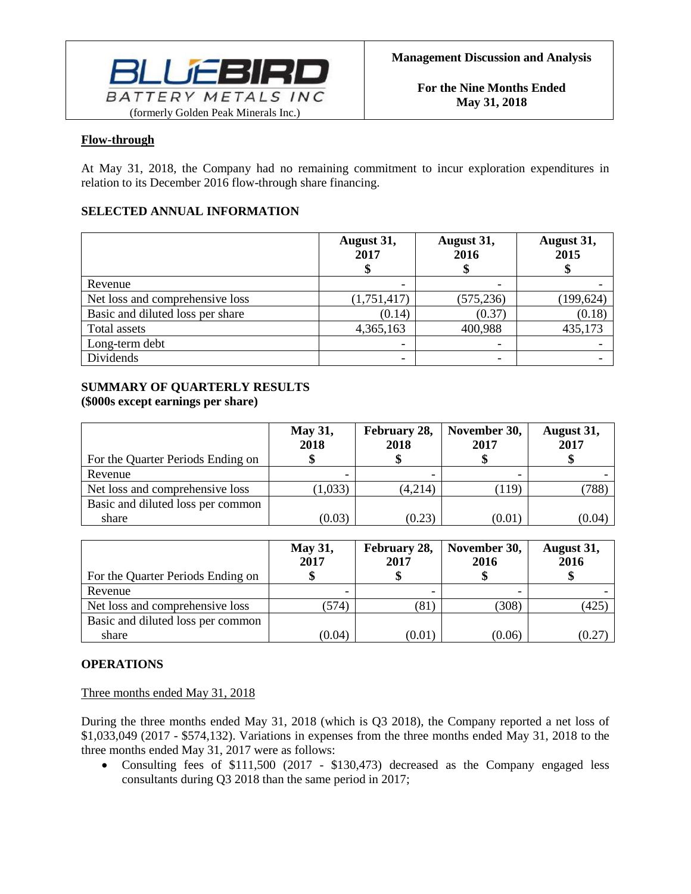

# **Flow-through**

At May 31, 2018, the Company had no remaining commitment to incur exploration expenditures in relation to its December 2016 flow-through share financing.

# **SELECTED ANNUAL INFORMATION**

|                                  | August 31,<br>2017 | August 31,<br>2016 | August 31,<br>2015 |
|----------------------------------|--------------------|--------------------|--------------------|
| Revenue                          |                    |                    |                    |
| Net loss and comprehensive loss  | (1,751,417)        | (575, 236)         | (199, 624)         |
| Basic and diluted loss per share | (0.14)             | (0.37)             | (0.18)             |
| Total assets                     | 4,365,163          | 400,988            | 435,173            |
| Long-term debt                   |                    |                    |                    |
| Dividends                        |                    |                    |                    |

## **SUMMARY OF QUARTERLY RESULTS (\$000s except earnings per share)**

| For the Quarter Periods Ending on | <b>May 31,</b><br>2018 | February 28,<br>2018 | November 30,<br>2017 | August 31,<br>2017 |
|-----------------------------------|------------------------|----------------------|----------------------|--------------------|
|                                   |                        |                      |                      |                    |
| Revenue                           |                        |                      |                      |                    |
| Net loss and comprehensive loss   | (1,033)                | (4,214)              | (119)                | (788)              |
| Basic and diluted loss per common |                        |                      |                      |                    |
| share                             | (0.03)                 | (0.23)               | (0.01)               | (0.04)             |

|                                   | <b>May 31,</b><br>2017 | February 28,<br>2017 | November 30,<br>2016 | August 31,<br>2016 |
|-----------------------------------|------------------------|----------------------|----------------------|--------------------|
| For the Quarter Periods Ending on |                        |                      |                      |                    |
| Revenue                           |                        |                      |                      |                    |
| Net loss and comprehensive loss   | (574)                  | (81)                 | (308)                | (425)              |
| Basic and diluted loss per common |                        |                      |                      |                    |
| share                             | (0.04)                 | (0.01)               | (0.06)               | (0.27              |

# **OPERATIONS**

Three months ended May 31, 2018

During the three months ended May 31, 2018 (which is Q3 2018), the Company reported a net loss of \$1,033,049 (2017 - \$574,132). Variations in expenses from the three months ended May 31, 2018 to the three months ended May 31, 2017 were as follows:

• Consulting fees of \$111,500 (2017 - \$130,473) decreased as the Company engaged less consultants during Q3 2018 than the same period in 2017;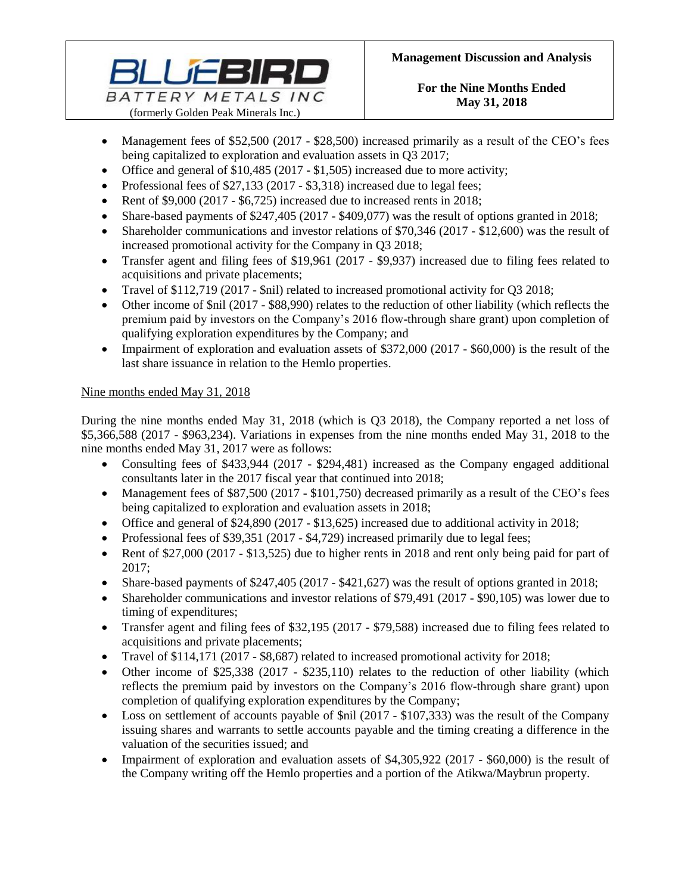

- Management fees of \$52,500 (2017 \$28,500) increased primarily as a result of the CEO's fees being capitalized to exploration and evaluation assets in Q3 2017;
- Office and general of  $$10,485 (2017 $1,505)$  increased due to more activity;
- Professional fees of \$27,133 (2017 \$3,318) increased due to legal fees;
- Rent of  $$9,000 (2017 $6,725)$  increased due to increased rents in 2018;
- Share-based payments of \$247,405 (2017 \$409,077) was the result of options granted in 2018;
- Shareholder communications and investor relations of \$70,346 (2017 \$12,600) was the result of increased promotional activity for the Company in Q3 2018;
- Transfer agent and filing fees of \$19,961 (2017 \$9,937) increased due to filing fees related to acquisitions and private placements;
- Travel of \$112,719 (2017 \$nil) related to increased promotional activity for Q3 2018;
- Other income of \$nil (2017 \$88,990) relates to the reduction of other liability (which reflects the premium paid by investors on the Company's 2016 flow-through share grant) upon completion of qualifying exploration expenditures by the Company; and
- Impairment of exploration and evaluation assets of \$372,000 (2017 \$60,000) is the result of the last share issuance in relation to the Hemlo properties.

# Nine months ended May 31, 2018

During the nine months ended May 31, 2018 (which is Q3 2018), the Company reported a net loss of \$5,366,588 (2017 - \$963,234). Variations in expenses from the nine months ended May 31, 2018 to the nine months ended May 31, 2017 were as follows:

- Consulting fees of \$433,944 (2017 \$294,481) increased as the Company engaged additional consultants later in the 2017 fiscal year that continued into 2018;
- Management fees of \$87,500 (2017 \$101,750) decreased primarily as a result of the CEO's fees being capitalized to exploration and evaluation assets in 2018;
- Office and general of \$24,890 (2017 \$13,625) increased due to additional activity in 2018;
- Professional fees of \$39,351 (2017 \$4,729) increased primarily due to legal fees;
- Rent of \$27,000 (2017 \$13,525) due to higher rents in 2018 and rent only being paid for part of 2017;
- Share-based payments of \$247,405 (2017 \$421,627) was the result of options granted in 2018;
- Shareholder communications and investor relations of \$79,491 (2017 \$90,105) was lower due to timing of expenditures;
- Transfer agent and filing fees of \$32,195 (2017 \$79,588) increased due to filing fees related to acquisitions and private placements;
- Travel of \$114,171 (2017 \$8,687) related to increased promotional activity for 2018;
- Other income of \$25,338 (2017 \$235,110) relates to the reduction of other liability (which reflects the premium paid by investors on the Company's 2016 flow-through share grant) upon completion of qualifying exploration expenditures by the Company;
- Loss on settlement of accounts payable of \$nil (2017 \$107,333) was the result of the Company issuing shares and warrants to settle accounts payable and the timing creating a difference in the valuation of the securities issued; and
- Impairment of exploration and evaluation assets of \$4,305,922 (2017 \$60,000) is the result of the Company writing off the Hemlo properties and a portion of the Atikwa/Maybrun property.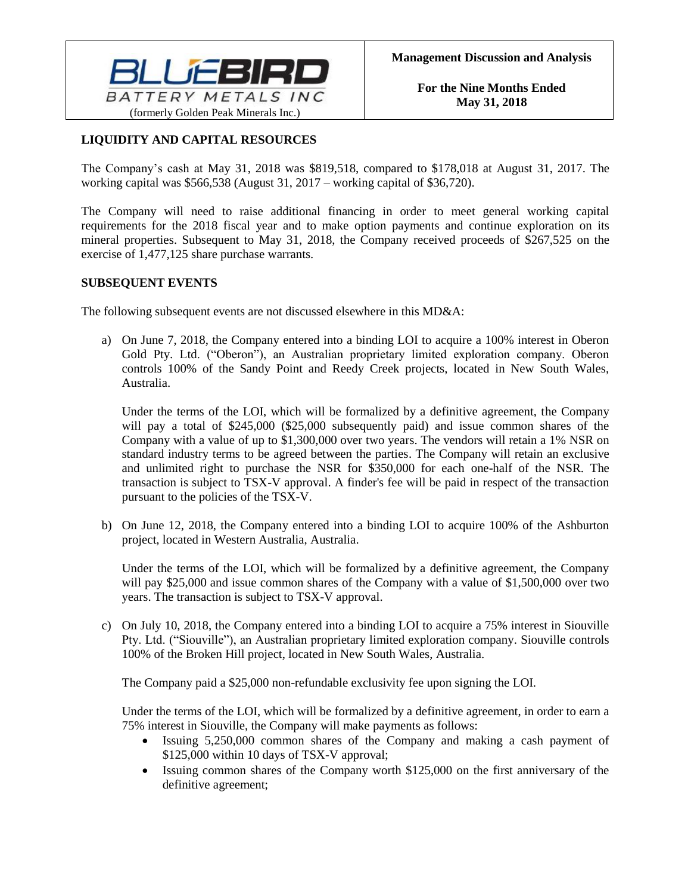

# **LIQUIDITY AND CAPITAL RESOURCES**

The Company's cash at May 31, 2018 was \$819,518, compared to \$178,018 at August 31, 2017. The working capital was \$566,538 (August 31, 2017 – working capital of \$36,720).

The Company will need to raise additional financing in order to meet general working capital requirements for the 2018 fiscal year and to make option payments and continue exploration on its mineral properties. Subsequent to May 31, 2018, the Company received proceeds of \$267,525 on the exercise of 1,477,125 share purchase warrants.

## **SUBSEQUENT EVENTS**

The following subsequent events are not discussed elsewhere in this MD&A:

a) On June 7, 2018, the Company entered into a binding LOI to acquire a 100% interest in Oberon Gold Pty. Ltd. ("Oberon"), an Australian proprietary limited exploration company. Oberon controls 100% of the Sandy Point and Reedy Creek projects, located in New South Wales, Australia.

Under the terms of the LOI, which will be formalized by a definitive agreement, the Company will pay a total of \$245,000 (\$25,000 subsequently paid) and issue common shares of the Company with a value of up to \$1,300,000 over two years. The vendors will retain a 1% NSR on standard industry terms to be agreed between the parties. The Company will retain an exclusive and unlimited right to purchase the NSR for \$350,000 for each one-half of the NSR. The transaction is subject to TSX-V approval. A finder's fee will be paid in respect of the transaction pursuant to the policies of the TSX-V.

b) On June 12, 2018, the Company entered into a binding LOI to acquire 100% of the Ashburton project, located in Western Australia, Australia.

Under the terms of the LOI, which will be formalized by a definitive agreement, the Company will pay \$25,000 and issue common shares of the Company with a value of \$1,500,000 over two years. The transaction is subject to TSX-V approval.

c) On July 10, 2018, the Company entered into a binding LOI to acquire a 75% interest in Siouville Pty. Ltd. ("Siouville"), an Australian proprietary limited exploration company. Siouville controls 100% of the Broken Hill project, located in New South Wales, Australia.

The Company paid a \$25,000 non-refundable exclusivity fee upon signing the LOI.

Under the terms of the LOI, which will be formalized by a definitive agreement, in order to earn a 75% interest in Siouville, the Company will make payments as follows:

- Issuing 5,250,000 common shares of the Company and making a cash payment of \$125,000 within 10 days of TSX-V approval;
- Issuing common shares of the Company worth \$125,000 on the first anniversary of the definitive agreement;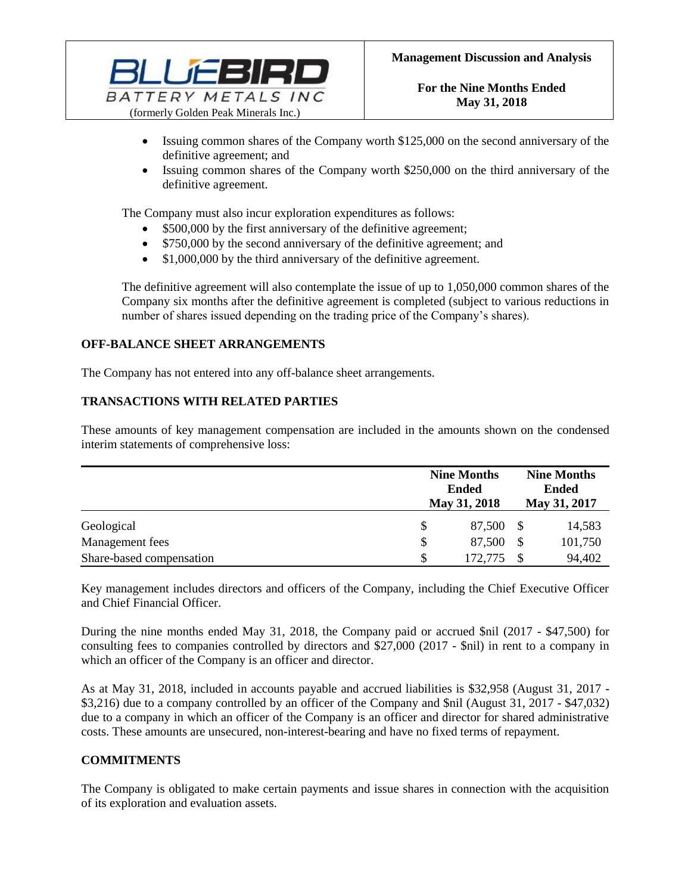

- Issuing common shares of the Company worth \$125,000 on the second anniversary of the definitive agreement; and
- Issuing common shares of the Company worth \$250,000 on the third anniversary of the definitive agreement.

The Company must also incur exploration expenditures as follows:

- \$500,000 by the first anniversary of the definitive agreement;
- \$750,000 by the second anniversary of the definitive agreement; and
- \$1,000,000 by the third anniversary of the definitive agreement.

The definitive agreement will also contemplate the issue of up to 1,050,000 common shares of the Company six months after the definitive agreement is completed (subject to various reductions in number of shares issued depending on the trading price of the Company's shares).

# **OFF-BALANCE SHEET ARRANGEMENTS**

The Company has not entered into any off-balance sheet arrangements.

# **TRANSACTIONS WITH RELATED PARTIES**

These amounts of key management compensation are included in the amounts shown on the condensed interim statements of comprehensive loss:

|                          | <b>Nine Months</b><br><b>Ended</b><br>May 31, 2018 |         |  | <b>Nine Months</b><br><b>Ended</b><br>May 31, 2017 |  |  |
|--------------------------|----------------------------------------------------|---------|--|----------------------------------------------------|--|--|
| Geological               | \$                                                 | 87,500  |  | 14,583                                             |  |  |
| Management fees          | \$                                                 | 87,500  |  | 101,750                                            |  |  |
| Share-based compensation |                                                    | 172,775 |  | 94,402                                             |  |  |

Key management includes directors and officers of the Company, including the Chief Executive Officer and Chief Financial Officer.

During the nine months ended May 31, 2018, the Company paid or accrued \$nil (2017 - \$47,500) for consulting fees to companies controlled by directors and \$27,000 (2017 - \$nil) in rent to a company in which an officer of the Company is an officer and director.

As at May 31, 2018, included in accounts payable and accrued liabilities is \$32,958 (August 31, 2017 - \$3,216) due to a company controlled by an officer of the Company and \$nil (August 31, 2017 - \$47,032) due to a company in which an officer of the Company is an officer and director for shared administrative costs. These amounts are unsecured, non-interest-bearing and have no fixed terms of repayment.

# **COMMITMENTS**

The Company is obligated to make certain payments and issue shares in connection with the acquisition of its exploration and evaluation assets.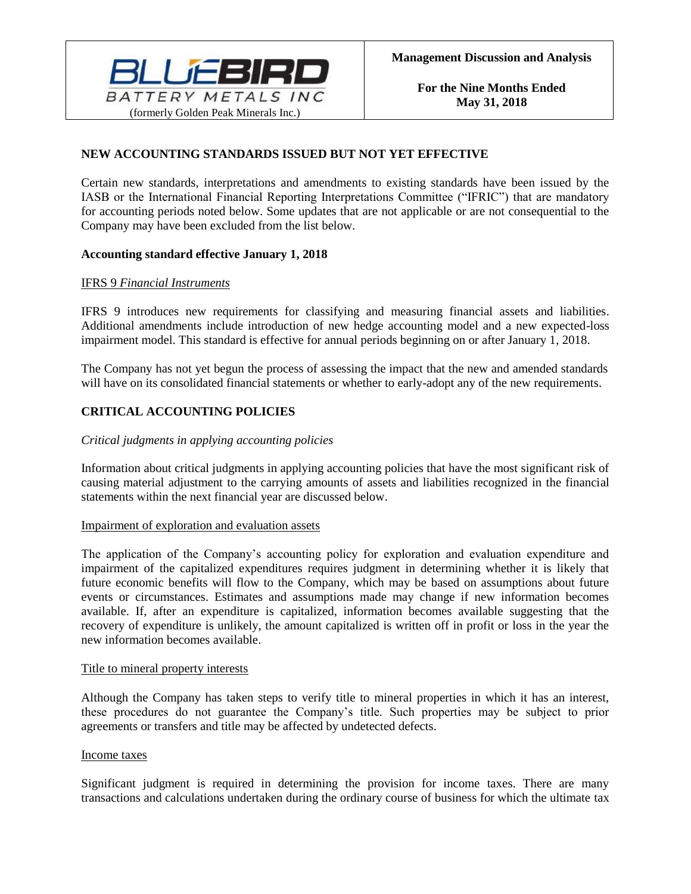

# **NEW ACCOUNTING STANDARDS ISSUED BUT NOT YET EFFECTIVE**

Certain new standards, interpretations and amendments to existing standards have been issued by the IASB or the International Financial Reporting Interpretations Committee ("IFRIC") that are mandatory for accounting periods noted below. Some updates that are not applicable or are not consequential to the Company may have been excluded from the list below.

### **Accounting standard effective January 1, 2018**

### IFRS 9 *Financial Instruments*

IFRS 9 introduces new requirements for classifying and measuring financial assets and liabilities. Additional amendments include introduction of new hedge accounting model and a new expected-loss impairment model. This standard is effective for annual periods beginning on or after January 1, 2018.

The Company has not yet begun the process of assessing the impact that the new and amended standards will have on its consolidated financial statements or whether to early-adopt any of the new requirements.

## **CRITICAL ACCOUNTING POLICIES**

### *Critical judgments in applying accounting policies*

Information about critical judgments in applying accounting policies that have the most significant risk of causing material adjustment to the carrying amounts of assets and liabilities recognized in the financial statements within the next financial year are discussed below.

#### Impairment of exploration and evaluation assets

The application of the Company's accounting policy for exploration and evaluation expenditure and impairment of the capitalized expenditures requires judgment in determining whether it is likely that future economic benefits will flow to the Company, which may be based on assumptions about future events or circumstances. Estimates and assumptions made may change if new information becomes available. If, after an expenditure is capitalized, information becomes available suggesting that the recovery of expenditure is unlikely, the amount capitalized is written off in profit or loss in the year the new information becomes available.

#### Title to mineral property interests

Although the Company has taken steps to verify title to mineral properties in which it has an interest, these procedures do not guarantee the Company's title. Such properties may be subject to prior agreements or transfers and title may be affected by undetected defects.

#### Income taxes

Significant judgment is required in determining the provision for income taxes. There are many transactions and calculations undertaken during the ordinary course of business for which the ultimate tax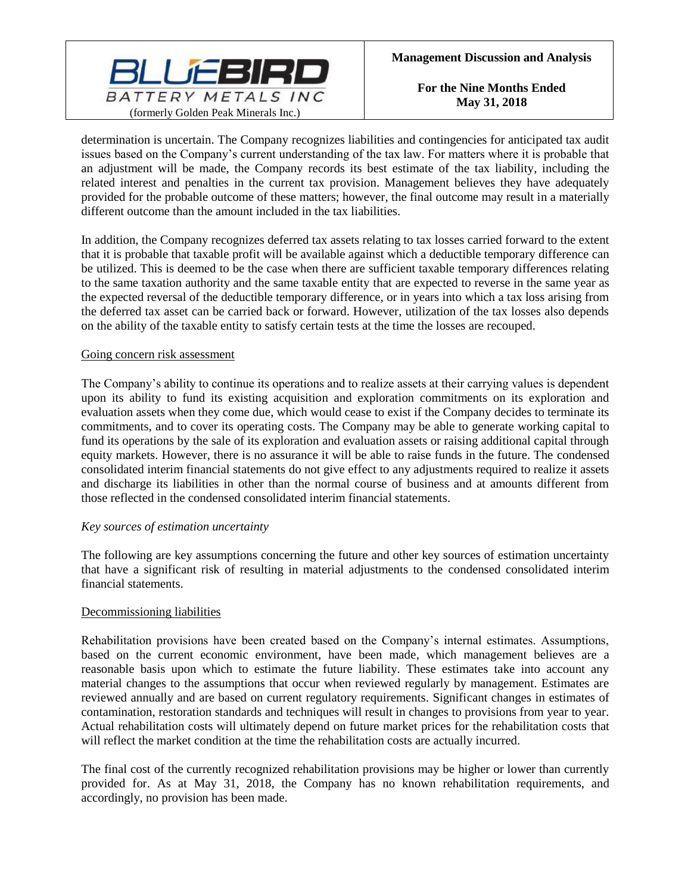

determination is uncertain. The Company recognizes liabilities and contingencies for anticipated tax audit issues based on the Company's current understanding of the tax law. For matters where it is probable that an adjustment will be made, the Company records its best estimate of the tax liability, including the related interest and penalties in the current tax provision. Management believes they have adequately provided for the probable outcome of these matters; however, the final outcome may result in a materially different outcome than the amount included in the tax liabilities.

In addition, the Company recognizes deferred tax assets relating to tax losses carried forward to the extent that it is probable that taxable profit will be available against which a deductible temporary difference can be utilized. This is deemed to be the case when there are sufficient taxable temporary differences relating to the same taxation authority and the same taxable entity that are expected to reverse in the same year as the expected reversal of the deductible temporary difference, or in years into which a tax loss arising from the deferred tax asset can be carried back or forward. However, utilization of the tax losses also depends on the ability of the taxable entity to satisfy certain tests at the time the losses are recouped.

## Going concern risk assessment

The Company's ability to continue its operations and to realize assets at their carrying values is dependent upon its ability to fund its existing acquisition and exploration commitments on its exploration and evaluation assets when they come due, which would cease to exist if the Company decides to terminate its commitments, and to cover its operating costs. The Company may be able to generate working capital to fund its operations by the sale of its exploration and evaluation assets or raising additional capital through equity markets. However, there is no assurance it will be able to raise funds in the future. The condensed consolidated interim financial statements do not give effect to any adjustments required to realize it assets and discharge its liabilities in other than the normal course of business and at amounts different from those reflected in the condensed consolidated interim financial statements.

#### *Key sources of estimation uncertainty*

The following are key assumptions concerning the future and other key sources of estimation uncertainty that have a significant risk of resulting in material adjustments to the condensed consolidated interim financial statements.

## Decommissioning liabilities

Rehabilitation provisions have been created based on the Company's internal estimates. Assumptions, based on the current economic environment, have been made, which management believes are a reasonable basis upon which to estimate the future liability. These estimates take into account any material changes to the assumptions that occur when reviewed regularly by management. Estimates are reviewed annually and are based on current regulatory requirements. Significant changes in estimates of contamination, restoration standards and techniques will result in changes to provisions from year to year. Actual rehabilitation costs will ultimately depend on future market prices for the rehabilitation costs that will reflect the market condition at the time the rehabilitation costs are actually incurred.

The final cost of the currently recognized rehabilitation provisions may be higher or lower than currently provided for. As at May 31, 2018, the Company has no known rehabilitation requirements, and accordingly, no provision has been made.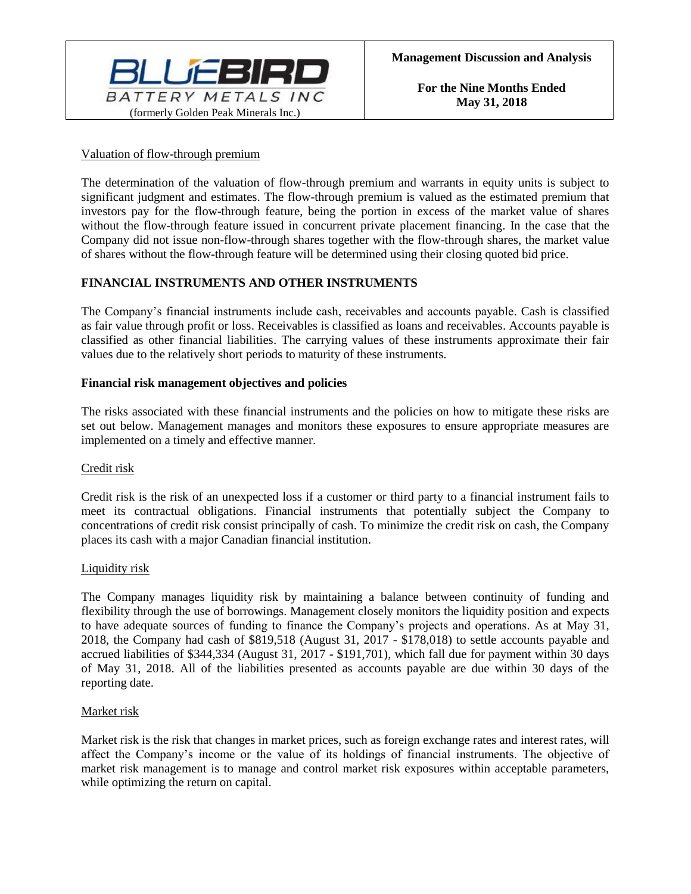

## Valuation of flow-through premium

The determination of the valuation of flow-through premium and warrants in equity units is subject to significant judgment and estimates. The flow-through premium is valued as the estimated premium that investors pay for the flow-through feature, being the portion in excess of the market value of shares without the flow-through feature issued in concurrent private placement financing. In the case that the Company did not issue non-flow-through shares together with the flow-through shares, the market value of shares without the flow-through feature will be determined using their closing quoted bid price.

# **FINANCIAL INSTRUMENTS AND OTHER INSTRUMENTS**

The Company's financial instruments include cash, receivables and accounts payable. Cash is classified as fair value through profit or loss. Receivables is classified as loans and receivables. Accounts payable is classified as other financial liabilities. The carrying values of these instruments approximate their fair values due to the relatively short periods to maturity of these instruments.

# **Financial risk management objectives and policies**

The risks associated with these financial instruments and the policies on how to mitigate these risks are set out below. Management manages and monitors these exposures to ensure appropriate measures are implemented on a timely and effective manner.

## Credit risk

Credit risk is the risk of an unexpected loss if a customer or third party to a financial instrument fails to meet its contractual obligations. Financial instruments that potentially subject the Company to concentrations of credit risk consist principally of cash. To minimize the credit risk on cash, the Company places its cash with a major Canadian financial institution.

# Liquidity risk

The Company manages liquidity risk by maintaining a balance between continuity of funding and flexibility through the use of borrowings. Management closely monitors the liquidity position and expects to have adequate sources of funding to finance the Company's projects and operations. As at May 31, 2018, the Company had cash of \$819,518 (August 31, 2017 - \$178,018) to settle accounts payable and accrued liabilities of \$344,334 (August 31, 2017 - \$191,701), which fall due for payment within 30 days of May 31, 2018. All of the liabilities presented as accounts payable are due within 30 days of the reporting date.

## Market risk

Market risk is the risk that changes in market prices, such as foreign exchange rates and interest rates, will affect the Company's income or the value of its holdings of financial instruments. The objective of market risk management is to manage and control market risk exposures within acceptable parameters, while optimizing the return on capital.